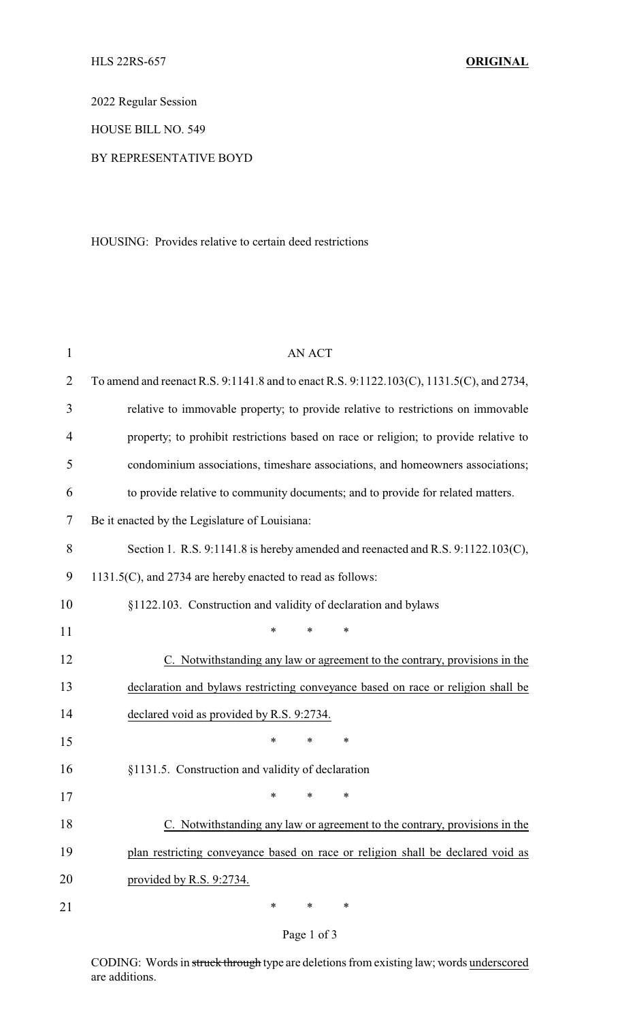2022 Regular Session

HOUSE BILL NO. 549

## BY REPRESENTATIVE BOYD

HOUSING: Provides relative to certain deed restrictions

| $\mathbf{1}$   | <b>AN ACT</b>                                                                            |  |  |  |
|----------------|------------------------------------------------------------------------------------------|--|--|--|
| 2              | To amend and reenact R.S. 9:1141.8 and to enact R.S. 9:1122.103(C), 1131.5(C), and 2734, |  |  |  |
| 3              | relative to immovable property; to provide relative to restrictions on immovable         |  |  |  |
| $\overline{4}$ | property; to prohibit restrictions based on race or religion; to provide relative to     |  |  |  |
| 5              | condominium associations, timeshare associations, and homeowners associations;           |  |  |  |
| 6              | to provide relative to community documents; and to provide for related matters.          |  |  |  |
| 7              | Be it enacted by the Legislature of Louisiana:                                           |  |  |  |
| 8              | Section 1. R.S. 9:1141.8 is hereby amended and reenacted and R.S. 9:1122.103(C),         |  |  |  |
| 9              | 1131.5(C), and 2734 are hereby enacted to read as follows:                               |  |  |  |
| 10             | §1122.103. Construction and validity of declaration and bylaws                           |  |  |  |
| 11             | *<br>*<br>*                                                                              |  |  |  |
| 12             | C. Notwithstanding any law or agreement to the contrary, provisions in the               |  |  |  |
| 13             | declaration and bylaws restricting conveyance based on race or religion shall be         |  |  |  |
| 14             | declared void as provided by R.S. 9:2734.                                                |  |  |  |
| 15             | $\ast$<br>*<br>*                                                                         |  |  |  |
| 16             | §1131.5. Construction and validity of declaration                                        |  |  |  |
| 17             | ∗<br>∗<br>∗                                                                              |  |  |  |
| 18             | C. Notwithstanding any law or agreement to the contrary, provisions in the               |  |  |  |
| 19             | plan restricting conveyance based on race or religion shall be declared void as          |  |  |  |
| 20             | provided by R.S. 9:2734.                                                                 |  |  |  |
| 21             | $\ast$<br>∗<br>∗                                                                         |  |  |  |

## Page 1 of 3

CODING: Words in struck through type are deletions from existing law; words underscored are additions.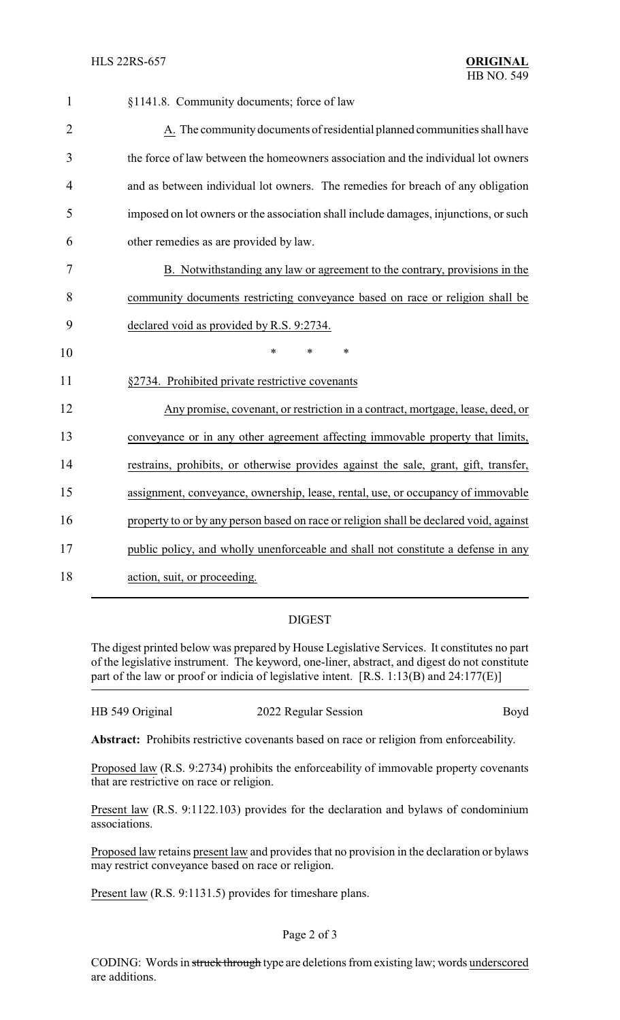| 1              | §1141.8. Community documents; force of law                                             |
|----------------|----------------------------------------------------------------------------------------|
| $\overline{2}$ | A. The community documents of residential planned communities shall have               |
| 3              | the force of law between the homeowners association and the individual lot owners      |
| 4              | and as between individual lot owners. The remedies for breach of any obligation        |
| 5              | imposed on lot owners or the association shall include damages, injunctions, or such   |
| 6              | other remedies as are provided by law.                                                 |
| 7              | B. Notwithstanding any law or agreement to the contrary, provisions in the             |
| 8              | community documents restricting conveyance based on race or religion shall be          |
| 9              | declared void as provided by R.S. 9:2734.                                              |
| 10             | $\ast$<br>*<br>$\ast$                                                                  |
| 11             | §2734. Prohibited private restrictive covenants                                        |
| 12             | Any promise, covenant, or restriction in a contract, mortgage, lease, deed, or         |
| 13             | conveyance or in any other agreement affecting immovable property that limits,         |
| 14             | restrains, prohibits, or otherwise provides against the sale, grant, gift, transfer,   |
| 15             | assignment, conveyance, ownership, lease, rental, use, or occupancy of immovable       |
| 16             | property to or by any person based on race or religion shall be declared void, against |
| 17             |                                                                                        |
|                | public policy, and wholly unenforceable and shall not constitute a defense in any      |

## DIGEST

The digest printed below was prepared by House Legislative Services. It constitutes no part of the legislative instrument. The keyword, one-liner, abstract, and digest do not constitute part of the law or proof or indicia of legislative intent. [R.S. 1:13(B) and 24:177(E)]

| HB 549 Original | 2022 Regular Session | Boyd |
|-----------------|----------------------|------|
|                 |                      |      |

**Abstract:** Prohibits restrictive covenants based on race or religion from enforceability.

Proposed law (R.S. 9:2734) prohibits the enforceability of immovable property covenants that are restrictive on race or religion.

Present law (R.S. 9:1122.103) provides for the declaration and bylaws of condominium associations.

Proposed law retains present law and provides that no provision in the declaration or bylaws may restrict conveyance based on race or religion.

Present law (R.S. 9:1131.5) provides for timeshare plans.